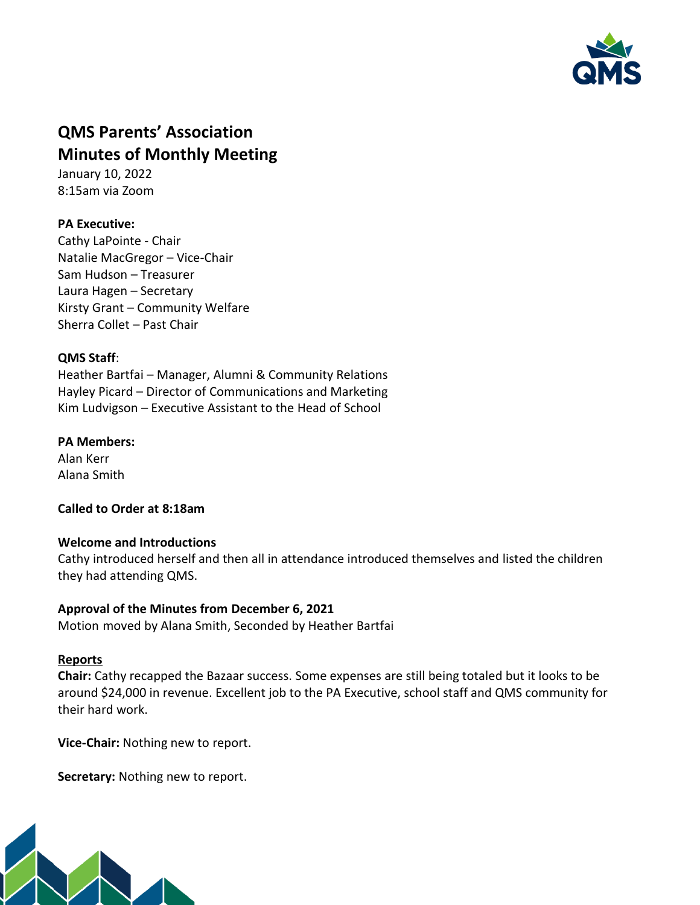

# **QMS Parents' Association Minutes of Monthly Meeting**

January 10, 2022 8:15am via Zoom

## **PA Executive:**

Cathy LaPointe - Chair Natalie MacGregor – Vice-Chair Sam Hudson – Treasurer Laura Hagen – Secretary Kirsty Grant – Community Welfare Sherra Collet – Past Chair

## **QMS Staff**:

Heather Bartfai – Manager, Alumni & Community Relations Hayley Picard – Director of Communications and Marketing Kim Ludvigson – Executive Assistant to the Head of School

## **PA Members:**

Alan Kerr Alana Smith

**Called to Order at 8:18am**

## **Welcome and Introductions**

Cathy introduced herself and then all in attendance introduced themselves and listed the children they had attending QMS.

## **Approval of the Minutes from December 6, 2021**

Motion moved by Alana Smith, Seconded by Heather Bartfai

## **Reports**

**Chair:** Cathy recapped the Bazaar success. Some expenses are still being totaled but it looks to be around \$24,000 in revenue. Excellent job to the PA Executive, school staff and QMS community for their hard work.

**Vice-Chair:** Nothing new to report.

**Secretary:** Nothing new to report.